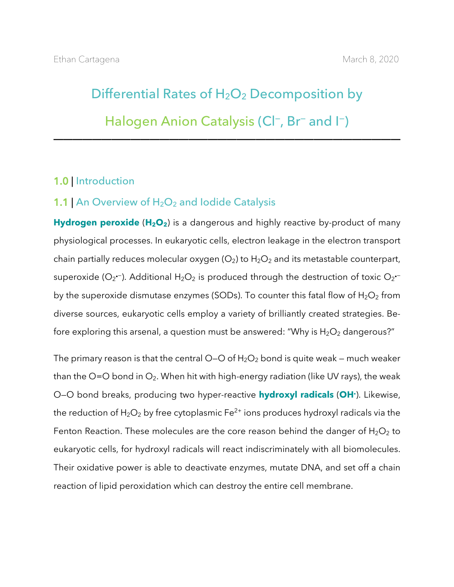# Differential Rates of  $H_2O_2$  Decomposition by Halogen Anion Catalysis (Cl<sup>-</sup>, Br<sup>-</sup> and I<sup>-</sup>)

**————————————————————————————————————**

## 1.0 | Introduction

#### 1.1 | An Overview of  $H_2O_2$  and Iodide Catalysis

**Hydrogen peroxide (H<sub>2</sub>O<sub>2</sub>)** is a dangerous and highly reactive by-product of many physiological processes. In eukaryotic cells, electron leakage in the electron transport chain partially reduces molecular oxygen  $(O_2)$  to  $H_2O_2$  and its metastable counterpart, superoxide (O2 $\cdot$ -). Additional H2O2 is produced through the destruction of toxic O2 $\cdot$ by the superoxide dismutase enzymes (SODs). To counter this fatal flow of  $H_2O_2$  from diverse sources, eukaryotic cells employ a variety of brilliantly created strategies. Before exploring this arsenal, a question must be answered: "Why is  $H_2O_2$  dangerous?"

The primary reason is that the central O–O of  $H_2O_2$  bond is quite weak – much weaker than the O=O bond in  $O_2$ . When hit with high-energy radiation (like UV rays), the weak O—O bond breaks, producing two hyper-reactive **hydroxyl radicals** (**OH**. ). Likewise, the reduction of  $H_2O_2$  by free cytoplasmic Fe<sup>2+</sup> ions produces hydroxyl radicals via the Fenton Reaction. These molecules are the core reason behind the danger of  $H_2O_2$  to eukaryotic cells, for hydroxyl radicals will react indiscriminately with all biomolecules. Their oxidative power is able to deactivate enzymes, mutate DNA, and set off a chain reaction of lipid peroxidation which can destroy the entire cell membrane.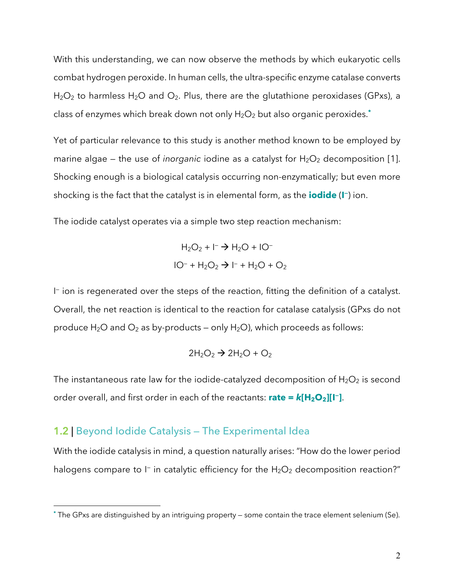With this understanding, we can now observe the methods by which eukaryotic cells combat hydrogen peroxide. In human cells, the ultra-specific enzyme catalase converts  $H<sub>2</sub>O<sub>2</sub>$  to harmless  $H<sub>2</sub>O$  and  $O<sub>2</sub>$ . Plus, there are the glutathione peroxidases (GPxs), a class of enzymes which break down not only H<sub>2</sub>O<sub>2</sub> but also organic peroxides.<sup>\*</sup>

Yet of particular relevance to this study is another method known to be employed by marine algae – the use of *inorganic* iodine as a catalyst for  $H_2O_2$  decomposition [1]. Shocking enough is a biological catalysis occurring non-enzymatically; but even more shocking is the fact that the catalyst is in elemental form, as the **iodide** (**I —**) ion.

The iodide catalyst operates via a simple two step reaction mechanism:

$$
H_2O_2 + I^- \to H_2O + IO^-
$$
  

$$
IO^- + H_2O_2 \to I^- + H_2O + O_2
$$

I — ion is regenerated over the steps of the reaction, fitting the definition of a catalyst. Overall, the net reaction is identical to the reaction for catalase catalysis (GPxs do not produce  $H_2O$  and  $O_2$  as by-products – only  $H_2O$ ), which proceeds as follows:

$$
2H_2O_2 \rightarrow 2H_2O + O_2
$$

The instantaneous rate law for the iodide-catalyzed decomposition of  $H_2O_2$  is second order overall, and first order in each of the reactants: **rate =** *k***[H2O2][I—]**.

#### 1.2 | Beyond Iodide Catalysis — The Experimental Idea

With the iodide catalysis in mind, a question naturally arises: "How do the lower period halogens compare to I<sup>-</sup> in catalytic efficiency for the H<sub>2</sub>O<sub>2</sub> decomposition reaction?"

**<sup>\*</sup>** The GPxs are distinguished by an intriguing property — some contain the trace element selenium (Se).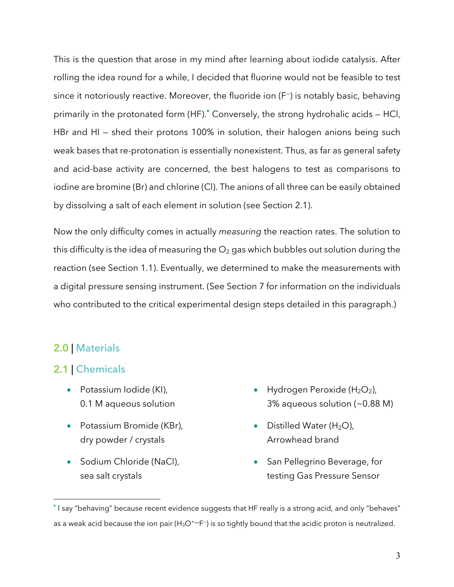This is the question that arose in my mind after learning about iodide catalysis. After rolling the idea round for a while, I decided that fluorine would not be feasible to test since it notoriously reactive. Moreover, the fluoride ion (F<sup>-</sup>) is notably basic, behaving primarily in the protonated form (HF).**\*** Conversely, the strong hydrohalic acids — HCl, HBr and HI – shed their protons 100% in solution, their halogen anions being such weak bases that re-protonation is essentially nonexistent. Thus, as far as general safety and acid-base activity are concerned, the best halogens to test as comparisons to iodine are bromine (Br) and chlorine (Cl). The anions of all three can be easily obtained by dissolving a salt of each element in solution (see Section 2.1).

Now the only difficulty comes in actually *measuring* the reaction rates. The solution to this difficulty is the idea of measuring the  $O<sub>2</sub>$  gas which bubbles out solution during the reaction (see Section 1.1). Eventually, we determined to make the measurements with a digital pressure sensing instrument. (See Section 7 for information on the individuals who contributed to the critical experimental design steps detailed in this paragraph.)

#### 2.0 | Materials

#### 2.1 | Chemicals

- Potassium Iodide (KI), 0.1 M aqueous solution
- Potassium Bromide (KBr), dry powder / crystals
- Sodium Chloride (NaCl), sea salt crystals
- Hydrogen Peroxide  $(H_2O_2)$ , 3% aqueous solution (~0.88 M)
- Distilled Water  $(H_2O)$ , Arrowhead brand
- San Pellegrino Beverage, for testing Gas Pressure Sensor

**<sup>\*</sup>** I say "behaving" because recent evidence suggests that HF really is a strong acid, and only "behaves" as a weak acid because the ion pair (H<sub>3</sub>O<sup>+</sup>···F<sup>-</sup>) is so tightly bound that the acidic proton is neutralized.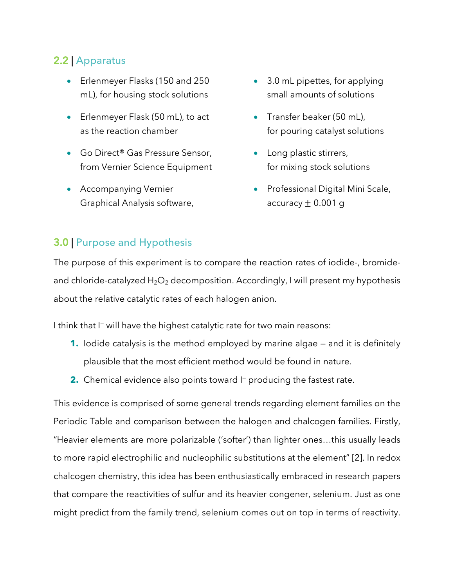# 2.2 | Apparatus

- Erlenmeyer Flasks (150 and 250 mL), for housing stock solutions
- Erlenmeyer Flask (50 mL), to act as the reaction chamber
- Go Direct® Gas Pressure Sensor, from Vernier Science Equipment
- Accompanying Vernier Graphical Analysis software,
- 3.0 mL pipettes, for applying small amounts of solutions
- Transfer beaker (50 mL), for pouring catalyst solutions
- Long plastic stirrers, for mixing stock solutions
- Professional Digital Mini Scale, accuracy  $\pm$  0.001 g

# 3.0 | Purpose and Hypothesis

The purpose of this experiment is to compare the reaction rates of iodide-, bromideand chloride-catalyzed  $H_2O_2$  decomposition. Accordingly, I will present my hypothesis about the relative catalytic rates of each halogen anion.

I think that I<sup>-</sup> will have the highest catalytic rate for two main reasons:

- **1.** Iodide catalysis is the method employed by marine algae and it is definitely plausible that the most efficient method would be found in nature.
- **2.** Chemical evidence also points toward I<sup>-</sup> producing the fastest rate.

This evidence is comprised of some general trends regarding element families on the Periodic Table and comparison between the halogen and chalcogen families. Firstly, "Heavier elements are more polarizable ('softer') than lighter ones…this usually leads to more rapid electrophilic and nucleophilic substitutions at the element" [2]. In redox chalcogen chemistry, this idea has been enthusiastically embraced in research papers that compare the reactivities of sulfur and its heavier congener, selenium. Just as one might predict from the family trend, selenium comes out on top in terms of reactivity.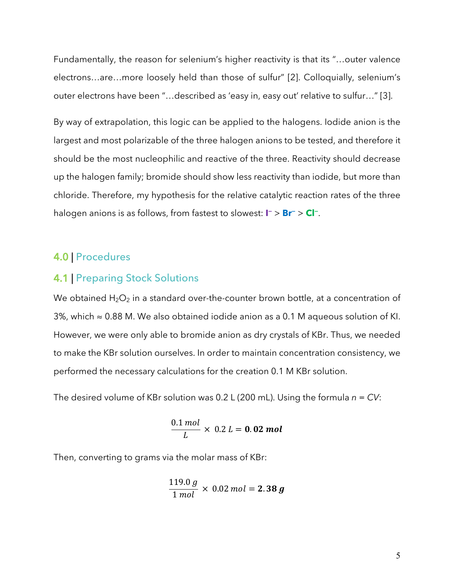Fundamentally, the reason for selenium's higher reactivity is that its "…outer valence electrons…are…more loosely held than those of sulfur" [2]. Colloquially, selenium's outer electrons have been "…described as 'easy in, easy out' relative to sulfur…" [3].

By way of extrapolation, this logic can be applied to the halogens. Iodide anion is the largest and most polarizable of the three halogen anions to be tested, and therefore it should be the most nucleophilic and reactive of the three. Reactivity should decrease up the halogen family; bromide should show less reactivity than iodide, but more than chloride. Therefore, my hypothesis for the relative catalytic reaction rates of the three halogen anions is as follows, from fastest to slowest: **I —** > **Br—** > **Cl—**.

#### 4.0 | Procedures

#### 4.1 | Preparing Stock Solutions

We obtained  $H_2O_2$  in a standard over-the-counter brown bottle, at a concentration of 3%, which  $≈$  0.88 M. We also obtained iodide anion as a 0.1 M aqueous solution of Kl. However, we were only able to bromide anion as dry crystals of KBr. Thus, we needed to make the KBr solution ourselves. In order to maintain concentration consistency, we performed the necessary calculations for the creation 0.1 M KBr solution.

The desired volume of KBr solution was 0.2 L (200 mL). Using the formula *n* = *CV*:

$$
\frac{0.1 \text{ mol}}{L} \times 0.2 \text{ L} = 0.02 \text{ mol}
$$

Then, converting to grams via the molar mass of KBr:

$$
\frac{119.0 \ g}{1 \ mol} \times 0.02 \ mol = 2.38 \ g
$$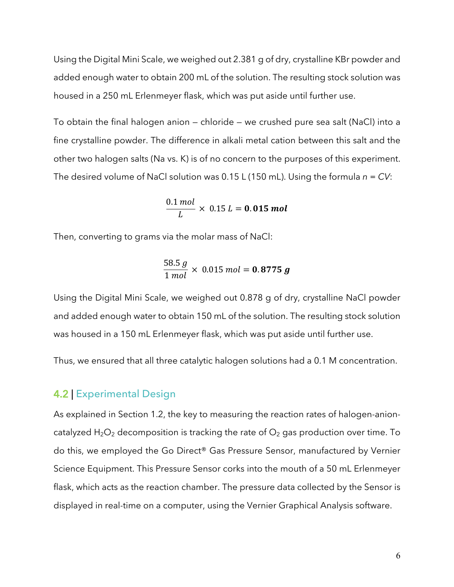Using the Digital Mini Scale, we weighed out 2.381 g of dry, crystalline KBr powder and added enough water to obtain 200 mL of the solution. The resulting stock solution was housed in a 250 mL Erlenmeyer flask, which was put aside until further use.

To obtain the final halogen anion — chloride — we crushed pure sea salt (NaCl) into a fine crystalline powder. The difference in alkali metal cation between this salt and the other two halogen salts (Na vs. K) is of no concern to the purposes of this experiment. The desired volume of NaCl solution was 0.15 L (150 mL). Using the formula *n* = *CV*:

> 0.1 mol  $\frac{n\pi}{L}$  × 0.15 L = **0.015 mol**

Then, converting to grams via the molar mass of NaCl:

$$
\frac{58.5 \ g}{1 \ mol} \times 0.015 \ mol = 0.8775 \ g
$$

Using the Digital Mini Scale, we weighed out 0.878 g of dry, crystalline NaCl powder and added enough water to obtain 150 mL of the solution. The resulting stock solution was housed in a 150 mL Erlenmeyer flask, which was put aside until further use.

Thus, we ensured that all three catalytic halogen solutions had a 0.1 M concentration.

#### 4.2 | Experimental Design

As explained in Section 1.2, the key to measuring the reaction rates of halogen-anioncatalyzed  $H_2O_2$  decomposition is tracking the rate of  $O_2$  gas production over time. To do this, we employed the Go Direct® Gas Pressure Sensor, manufactured by Vernier Science Equipment. This Pressure Sensor corks into the mouth of a 50 mL Erlenmeyer flask, which acts as the reaction chamber. The pressure data collected by the Sensor is displayed in real-time on a computer, using the Vernier Graphical Analysis software.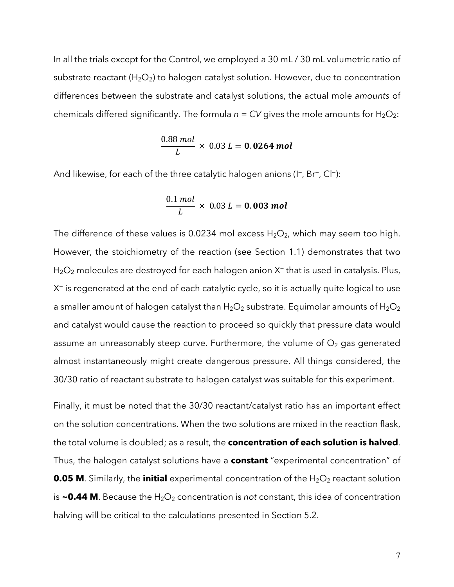In all the trials except for the Control, we employed a 30 mL / 30 mL volumetric ratio of substrate reactant  $(H_2O_2)$  to halogen catalyst solution. However, due to concentration differences between the substrate and catalyst solutions, the actual mole *amounts* of chemicals differed significantly. The formula  $n = CV$  gives the mole amounts for  $H_2O_2$ :

$$
\frac{0.88 \, mol}{L} \times 0.03 \, L = 0.0264 \, mol
$$

And likewise, for each of the three catalytic halogen anions (I-, Br-, CI-):

$$
\frac{0.1 \, mol}{L} \times \, 0.03 \, L = 0.003 \, mol
$$

The difference of these values is 0.0234 mol excess  $H_2O_2$ , which may seem too high. However, the stoichiometry of the reaction (see Section 1.1) demonstrates that two  $H_2O_2$  molecules are destroyed for each halogen anion  $X^-$  that is used in catalysis. Plus,  $X^-$  is regenerated at the end of each catalytic cycle, so it is actually quite logical to use a smaller amount of halogen catalyst than  $H_2O_2$  substrate. Equimolar amounts of  $H_2O_2$ and catalyst would cause the reaction to proceed so quickly that pressure data would assume an unreasonably steep curve. Furthermore, the volume of  $O<sub>2</sub>$  gas generated almost instantaneously might create dangerous pressure. All things considered, the 30/30 ratio of reactant substrate to halogen catalyst was suitable for this experiment.

Finally, it must be noted that the 30/30 reactant/catalyst ratio has an important effect on the solution concentrations. When the two solutions are mixed in the reaction flask, the total volume is doubled; as a result, the **concentration of each solution is halved**. Thus, the halogen catalyst solutions have a **constant** "experimental concentration" of **0.05 M**. Similarly, the **initial** experimental concentration of the H<sub>2</sub>O<sub>2</sub> reactant solution is  $\sim$ **0.44 M**. Because the  $H_2O_2$  concentration is *not* constant, this idea of concentration halving will be critical to the calculations presented in Section 5.2.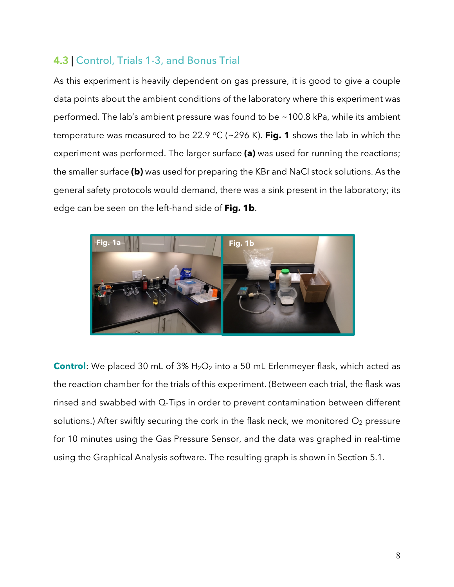# 4.3 | Control, Trials 1-3, and Bonus Trial

As this experiment is heavily dependent on gas pressure, it is good to give a couple data points about the ambient conditions of the laboratory where this experiment was performed. The lab's ambient pressure was found to be ~100.8 kPa, while its ambient temperature was measured to be 22.9 °C (~296 K). Fig. 1 shows the lab in which the experiment was performed. The larger surface **(a)** was used for running the reactions; the smaller surface **(b)** was used for preparing the KBr and NaCl stock solutions. As the general safety protocols would demand, there was a sink present in the laboratory; its edge can be seen on the left-hand side of **Fig. 1b**.



**Control**: We placed 30 mL of 3% H<sub>2</sub>O<sub>2</sub> into a 50 mL Erlenmeyer flask, which acted as the reaction chamber for the trials of this experiment. (Between each trial, the flask was rinsed and swabbed with Q-Tips in order to prevent contamination between different solutions.) After swiftly securing the cork in the flask neck, we monitored  $O_2$  pressure for 10 minutes using the Gas Pressure Sensor, and the data was graphed in real-time using the Graphical Analysis software. The resulting graph is shown in Section 5.1.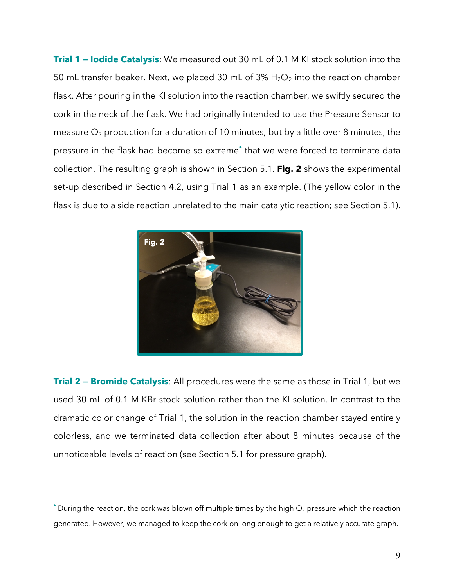**Trial 1 — Iodide Catalysis**: We measured out 30 mL of 0.1 M KI stock solution into the 50 mL transfer beaker. Next, we placed 30 mL of 3%  $H_2O_2$  into the reaction chamber flask. After pouring in the KI solution into the reaction chamber, we swiftly secured the cork in the neck of the flask. We had originally intended to use the Pressure Sensor to measure  $O_2$  production for a duration of 10 minutes, but by a little over 8 minutes, the pressure in the flask had become so extreme**\*** that we were forced to terminate data collection. The resulting graph is shown in Section 5.1. **Fig. 2** shows the experimental set-up described in Section 4.2, using Trial 1 as an example. (The yellow color in the flask is due to a side reaction unrelated to the main catalytic reaction; see Section 5.1).



**Trial 2 — Bromide Catalysis**: All procedures were the same as those in Trial 1, but we used 30 mL of 0.1 M KBr stock solution rather than the KI solution. In contrast to the dramatic color change of Trial 1, the solution in the reaction chamber stayed entirely colorless, and we terminated data collection after about 8 minutes because of the unnoticeable levels of reaction (see Section 5.1 for pressure graph).

<sup>\*</sup> During the reaction, the cork was blown off multiple times by the high O<sub>2</sub> pressure which the reaction generated. However, we managed to keep the cork on long enough to get a relatively accurate graph.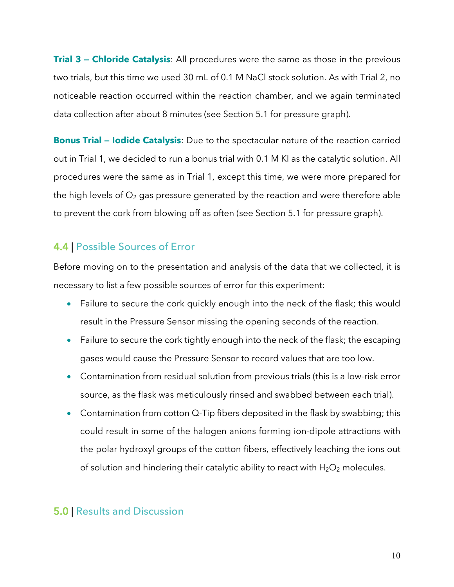**Trial 3 – Chloride Catalysis:** All procedures were the same as those in the previous two trials, but this time we used 30 mL of 0.1 M NaCl stock solution. As with Trial 2, no noticeable reaction occurred within the reaction chamber, and we again terminated data collection after about 8 minutes (see Section 5.1 for pressure graph).

**Bonus Trial — Iodide Catalysis**: Due to the spectacular nature of the reaction carried out in Trial 1, we decided to run a bonus trial with 0.1 M KI as the catalytic solution. All procedures were the same as in Trial 1, except this time, we were more prepared for the high levels of  $O_2$  gas pressure generated by the reaction and were therefore able to prevent the cork from blowing off as often (see Section 5.1 for pressure graph).

## 4.4 | Possible Sources of Error

Before moving on to the presentation and analysis of the data that we collected, it is necessary to list a few possible sources of error for this experiment:

- Failure to secure the cork quickly enough into the neck of the flask; this would result in the Pressure Sensor missing the opening seconds of the reaction.
- Failure to secure the cork tightly enough into the neck of the flask; the escaping gases would cause the Pressure Sensor to record values that are too low.
- Contamination from residual solution from previous trials (this is a low-risk error source, as the flask was meticulously rinsed and swabbed between each trial).
- Contamination from cotton Q-Tip fibers deposited in the flask by swabbing; this could result in some of the halogen anions forming ion-dipole attractions with the polar hydroxyl groups of the cotton fibers, effectively leaching the ions out of solution and hindering their catalytic ability to react with  $H_2O_2$  molecules.

## 5.0 | Results and Discussion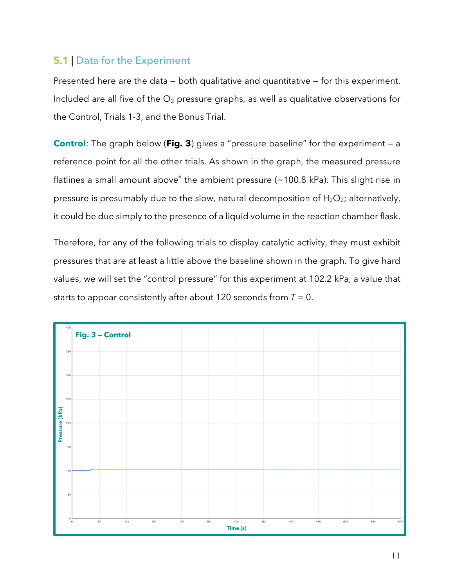## 5.1 | Data for the Experiment

Presented here are the data — both qualitative and quantitative — for this experiment. Included are all five of the  $O_2$  pressure graphs, as well as qualitative observations for the Control, Trials 1-3, and the Bonus Trial.

**Control**: The graph below (**Fig. 3**) gives a "pressure baseline" for the experiment – a reference point for all the other trials. As shown in the graph, the measured pressure flatlines a small amount above**\*** the ambient pressure (~100.8 kPa). This slight rise in pressure is presumably due to the slow, natural decomposition of  $H_2O_2$ ; alternatively, it could be due simply to the presence of a liquid volume in the reaction chamber flask.

Therefore, for any of the following trials to display catalytic activity, they must exhibit pressures that are at least a little above the baseline shown in the graph. To give hard values, we will set the "control pressure" for this experiment at 102.2 kPa, a value that starts to appear consistently after about 120 seconds from *T* = 0.

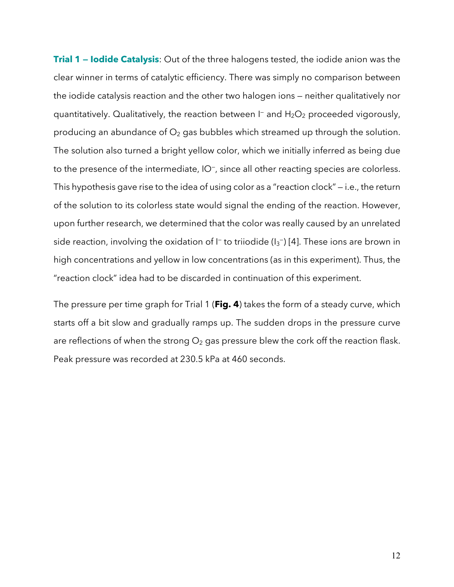**Trial 1 — Iodide Catalysis**: Out of the three halogens tested, the iodide anion was the clear winner in terms of catalytic efficiency. There was simply no comparison between the iodide catalysis reaction and the other two halogen ions — neither qualitatively nor quantitatively. Qualitatively, the reaction between  $\Gamma$  and  $H_2O_2$  proceeded vigorously, producing an abundance of  $O_2$  gas bubbles which streamed up through the solution. The solution also turned a bright yellow color, which we initially inferred as being due to the presence of the intermediate,  $IO^-$ , since all other reacting species are colorless. This hypothesis gave rise to the idea of using color as a "reaction clock" — i.e., the return of the solution to its colorless state would signal the ending of the reaction. However, upon further research, we determined that the color was really caused by an unrelated side reaction, involving the oxidation of I<sup>-</sup> to triiodide (I<sub>3</sub>-) [4]. These ions are brown in high concentrations and yellow in low concentrations (as in this experiment). Thus, the "reaction clock" idea had to be discarded in continuation of this experiment.

The pressure per time graph for Trial 1 (**Fig. 4**) takes the form of a steady curve, which starts off a bit slow and gradually ramps up. The sudden drops in the pressure curve are reflections of when the strong  $O_2$  gas pressure blew the cork off the reaction flask. Peak pressure was recorded at 230.5 kPa at 460 seconds.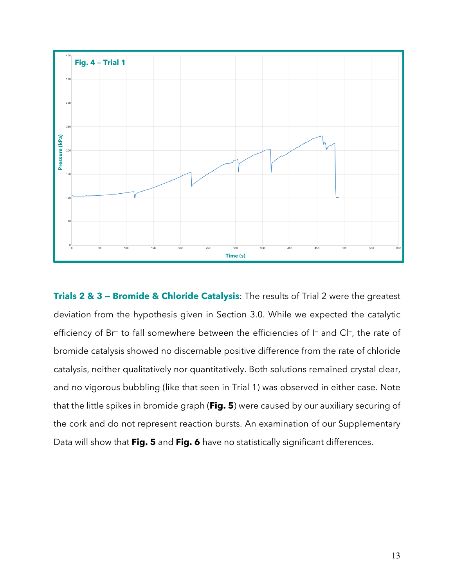

**Trials 2 & 3 — Bromide & Chloride Catalysis**: The results of Trial 2 were the greatest deviation from the hypothesis given in Section 3.0. While we expected the catalytic efficiency of Br<sup>-</sup> to fall somewhere between the efficiencies of I<sup>-</sup> and Cl<sup>-</sup>, the rate of bromide catalysis showed no discernable positive difference from the rate of chloride catalysis, neither qualitatively nor quantitatively. Both solutions remained crystal clear, and no vigorous bubbling (like that seen in Trial 1) was observed in either case. Note that the little spikes in bromide graph (**Fig. 5**) were caused by our auxiliary securing of the cork and do not represent reaction bursts. An examination of our Supplementary Trials 2 & 3 – Bromide & Chloride Catalysis: The results of Trial 2 were the g<br>
Trials 2 & 3 – Bromide & Chloride Catalysis: The results of Trial 2 were the g<br>
efficiency of Br to fall somewhere between the efficiencies of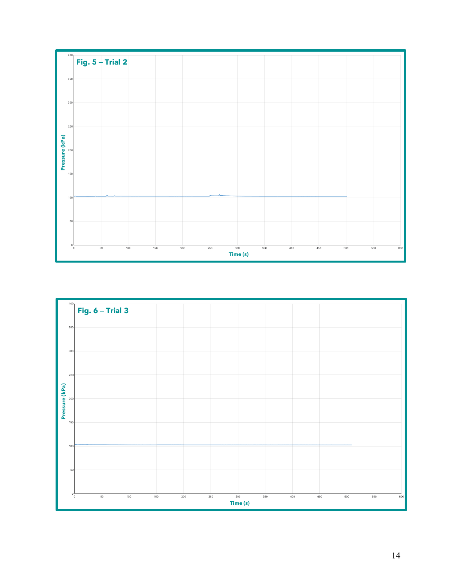

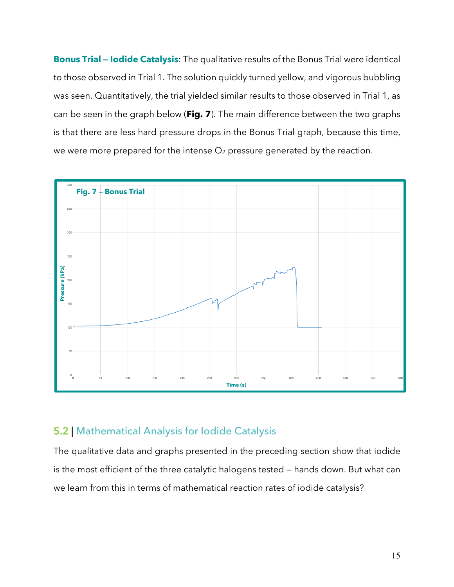**Bonus Trial — Iodide Catalysis**: The qualitative results of the Bonus Trial were identical to those observed in Trial 1. The solution quickly turned yellow, and vigorous bubbling was seen. Quantitatively, the trial yielded similar results to those observed in Trial 1, as can be seen in the graph below (**Fig. 7**). The main difference between the two graphs is that there are less hard pressure drops in the Bonus Trial graph, because this time, we were more prepared for the intense  $O_2$  pressure generated by the reaction.



# 5.2 | Mathematical Analysis for Iodide Catalysis

The qualitative data and graphs presented in the preceding section show that iodide is the most efficient of the three catalytic halogens tested — hands down. But what can we learn from this in terms of mathematical reaction rates of iodide catalysis?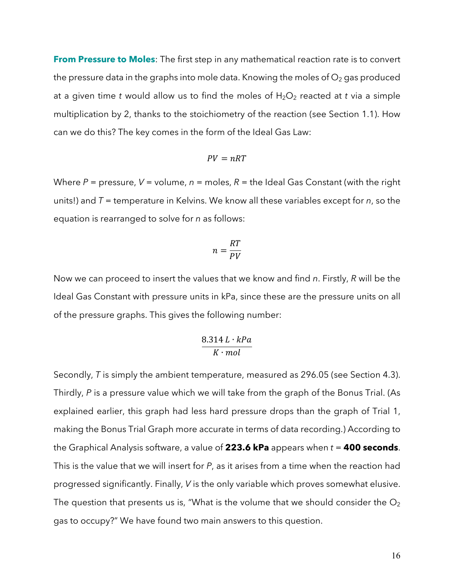**From Pressure to Moles**: The first step in any mathematical reaction rate is to convert the pressure data in the graphs into mole data. Knowing the moles of  $O<sub>2</sub>$  gas produced at a given time *t* would allow us to find the moles of  $H_2O_2$  reacted at *t* via a simple multiplication by 2, thanks to the stoichiometry of the reaction (see Section 1.1). How can we do this? The key comes in the form of the Ideal Gas Law:

$$
PV = nRT
$$

Where *P* = pressure, *V* = volume, *n* = moles, *R* = the Ideal Gas Constant (with the right units!) and *T* = temperature in Kelvins. We know all these variables except for *n*, so the equation is rearranged to solve for *n* as follows:

$$
n = \frac{RT}{PV}
$$

Now we can proceed to insert the values that we know and find *n*. Firstly, *R* will be the Ideal Gas Constant with pressure units in kPa, since these are the pressure units on all of the pressure graphs. This gives the following number:

$$
\frac{8.314 L \cdot kPa}{K \cdot mol}
$$

Secondly, *T* is simply the ambient temperature, measured as 296.05 (see Section 4.3). Thirdly, *P* is a pressure value which we will take from the graph of the Bonus Trial. (As explained earlier, this graph had less hard pressure drops than the graph of Trial 1, making the Bonus Trial Graph more accurate in terms of data recording.) According to the Graphical Analysis software, a value of **223.6 kPa** appears when *t* = **400 seconds**. This is the value that we will insert for *P*, as it arises from a time when the reaction had progressed significantly. Finally, *V* is the only variable which proves somewhat elusive. The question that presents us is, "What is the volume that we should consider the  $O<sub>2</sub>$ gas to occupy?" We have found two main answers to this question.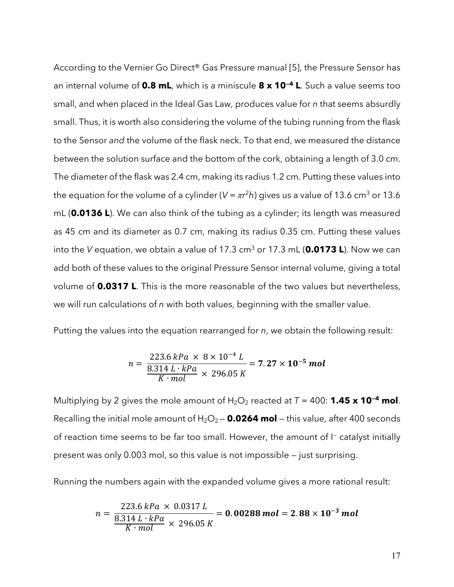According to the Vernier Go Direct® Gas Pressure manual [5], the Pressure Sensor has an internal volume of **0.8 mL**, which is a miniscule **8 x 10—4 L**. Such a value seems too small, and when placed in the Ideal Gas Law, produces value for *n* that seems absurdly small. Thus, it is worth also considering the volume of the tubing running from the flask to the Sensor *and* the volume of the flask neck. To that end, we measured the distance between the solution surface and the bottom of the cork, obtaining a length of 3.0 cm. The diameter of the flask was 2.4 cm, making its radius 1.2 cm. Putting these values into the equation for the volume of a cylinder ( $V = \pi r^2 h$ ) gives us a value of 13.6 cm<sup>3</sup> or 13.6 mL (**0.0136 L**). We can also think of the tubing as a cylinder; its length was measured as 45 cm and its diameter as 0.7 cm, making its radius 0.35 cm. Putting these values into the *V* equation, we obtain a value of 17.3 cm<sup>3</sup> or 17.3 mL (**0.0173 L**). Now we can add both of these values to the original Pressure Sensor internal volume, giving a total volume of **0.0317 L**. This is the more reasonable of the two values but nevertheless, we will run calculations of *n* with both values, beginning with the smaller value.

Putting the values into the equation rearranged for *n*, we obtain the following result:

$$
n = \frac{223.6 \, kPa \times 8 \times 10^{-4} \, L}{\frac{8.314 \, L \cdot kPa}{K \cdot mol} \times 296.05 \, K} = 7.27 \times 10^{-5} \, mol
$$

Multiplying by 2 gives the mole amount of  $H_2O_2$  reacted at  $T = 400$ : **1.45 x 10<sup>-4</sup> mol**. Recalling the initial mole amount of  $H_2O_2 - 0.0264$  mol – this value, after 400 seconds of reaction time seems to be far too small. However, the amount of  $\Gamma$  catalyst initially present was only 0.003 mol, so this value is not impossible — just surprising.

Running the numbers again with the expanded volume gives a more rational result:

$$
n = \frac{223.6 \ kPa \times 0.0317 \ L}{\frac{8.314 \ L \cdot kPa}{K \cdot mol} \times 296.05 \ K} = 0.00288 \ mol = 2.88 \times 10^{-3} \ mol
$$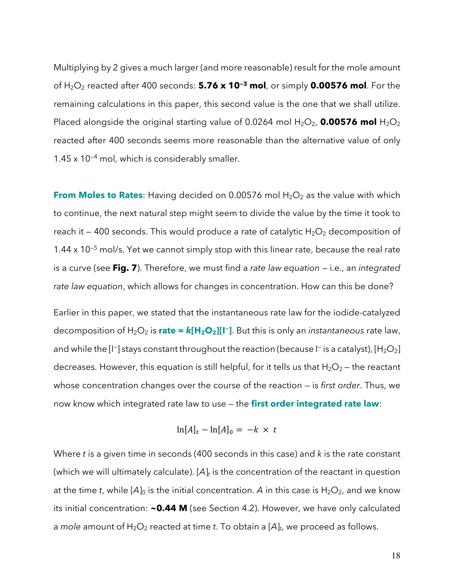Multiplying by 2 gives a much larger (and more reasonable) result for the mole amount of H2O2 reacted after 400 seconds: **5.76 x 10—3 mol**, or simply **0.00576 mol**. For the remaining calculations in this paper, this second value is the one that we shall utilize. Placed alongside the original starting value of 0.0264 mol  $H_2O_2$ , **0.00576 mol**  $H_2O_2$ reacted after 400 seconds seems more reasonable than the alternative value of only 1.45 x  $10^{-4}$  mol, which is considerably smaller.

**From Moles to Rates:** Having decided on 0.00576 mol H<sub>2</sub>O<sub>2</sub> as the value with which to continue, the next natural step might seem to divide the value by the time it took to reach it  $-$  400 seconds. This would produce a rate of catalytic  $H_2O_2$  decomposition of 1.44 x  $10^{-5}$  mol/s. Yet we cannot simply stop with this linear rate, because the real rate is a curve (see **Fig. 7**). Therefore, we must find a *rate law equation* — i.e., an *integrated rate law equation*, which allows for changes in concentration. How can this be done?

Earlier in this paper, we stated that the instantaneous rate law for the iodide-catalyzed decomposition of  $H_2O_2$  is **rate =**  $k[H_2O_2][\ ]$ . But this is only an *instantaneous* rate law, and while the [I<sup>-</sup>] stays constant throughout the reaction (because I<sup>-</sup> is a catalyst), [H<sub>2</sub>O<sub>2</sub>] decreases. However, this equation is still helpful, for it tells us that  $H_2O_2$  – the reactant whose concentration changes over the course of the reaction — is *first order*. Thus, we now know which integrated rate law to use — the **first order integrated rate law**:

$$
\ln[A]_t - \ln[A]_0 = -k \times t
$$

Where *t* is a given time in seconds (400 seconds in this case) and *k* is the rate constant (which we will ultimately calculate). [*A*]*<sup>t</sup>* is the concentration of the reactant in question at the time *t*, while  $[A]_0$  is the initial concentration. A in this case is  $H_2O_2$ , and we know its initial concentration: **~0.44 M** (see Section 4.2). However, we have only calculated a *mole* amount of H<sub>2</sub>O<sub>2</sub> reacted at time *t*. To obtain a [A]<sub>*t*</sub>, we proceed as follows.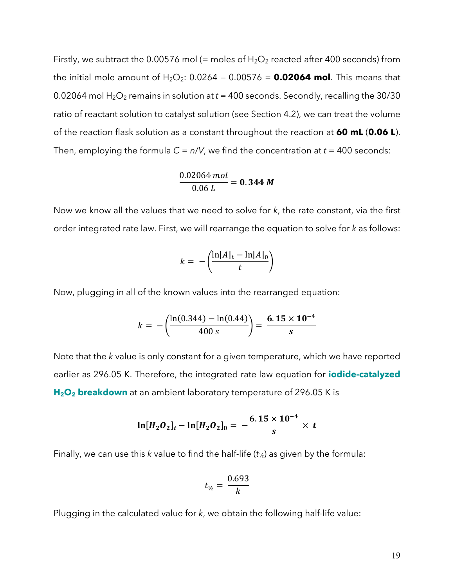Firstly, we subtract the 0.00576 mol (= moles of  $H_2O_2$  reacted after 400 seconds) from the initial mole amount of  $H_2O_2$ : 0.0264 – 0.00576 = **0.02064 mol**. This means that 0.02064 mol H2O2 remains in solution at *t* = 400 seconds. Secondly, recalling the 30/30 ratio of reactant solution to catalyst solution (see Section 4.2), we can treat the volume of the reaction flask solution as a constant throughout the reaction at **60 mL** (**0.06 L**). Then, employing the formula  $C = n/V$ , we find the concentration at  $t = 400$  seconds:

$$
\frac{0.02064 \text{ mol}}{0.06 \text{ L}} = 0.344 \text{ M}
$$

Now we know all the values that we need to solve for *k*, the rate constant, via the first order integrated rate law. First, we will rearrange the equation to solve for *k* as follows:

$$
k = -\left(\frac{\ln[A]_t - \ln[A]_0}{t}\right)
$$

Now, plugging in all of the known values into the rearranged equation:

$$
k = -\left(\frac{\ln(0.344) - \ln(0.44)}{400 s}\right) = \frac{6.15 \times 10^{-4}}{s}
$$

Note that the *k* value is only constant for a given temperature, which we have reported earlier as 296.05 K. Therefore, the integrated rate law equation for **iodide-catalyzed H2O2 breakdown** at an ambient laboratory temperature of 296.05 K is

$$
\ln[H_2O_2]_t - \ln[H_2O_2]_0 = -\frac{6.15 \times 10^{-4}}{s} \times t
$$

Finally, we can use this *k* value to find the half-life (*t*½) as given by the formula:

$$
t_{\frac{1}{2}} = \frac{0.693}{k}
$$

Plugging in the calculated value for *k*, we obtain the following half-life value: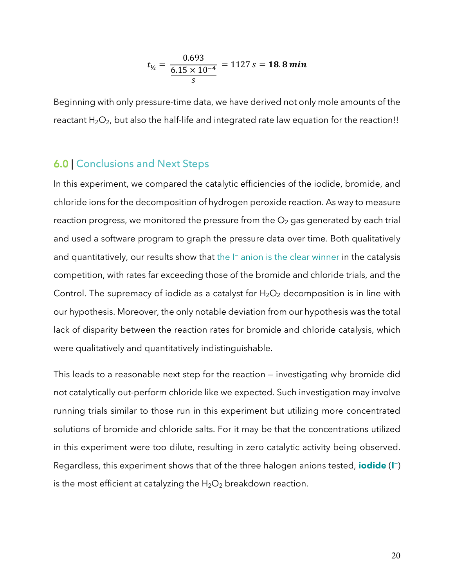$$
t_{\frac{1}{2}} = \frac{0.693}{\frac{6.15 \times 10^{-4}}{s}} = 1127 \, s = 18.8 \, min
$$

Beginning with only pressure-time data, we have derived not only mole amounts of the reactant  $H_2O_2$ , but also the half-life and integrated rate law equation for the reaction!!

## 6.0 | Conclusions and Next Steps

In this experiment, we compared the catalytic efficiencies of the iodide, bromide, and chloride ions for the decomposition of hydrogen peroxide reaction. As way to measure reaction progress, we monitored the pressure from the  $O<sub>2</sub>$  gas generated by each trial and used a software program to graph the pressure data over time. Both qualitatively and quantitatively, our results show that the  $\Gamma$  anion is the clear winner in the catalysis competition, with rates far exceeding those of the bromide and chloride trials, and the Control. The supremacy of iodide as a catalyst for  $H_2O_2$  decomposition is in line with our hypothesis. Moreover, the only notable deviation from our hypothesis was the total lack of disparity between the reaction rates for bromide and chloride catalysis, which were qualitatively and quantitatively indistinguishable.

This leads to a reasonable next step for the reaction — investigating why bromide did not catalytically out-perform chloride like we expected. Such investigation may involve running trials similar to those run in this experiment but utilizing more concentrated solutions of bromide and chloride salts. For it may be that the concentrations utilized in this experiment were too dilute, resulting in zero catalytic activity being observed. Regardless, this experiment shows that of the three halogen anions tested, **iodide** (**I —**) is the most efficient at catalyzing the  $H_2O_2$  breakdown reaction.